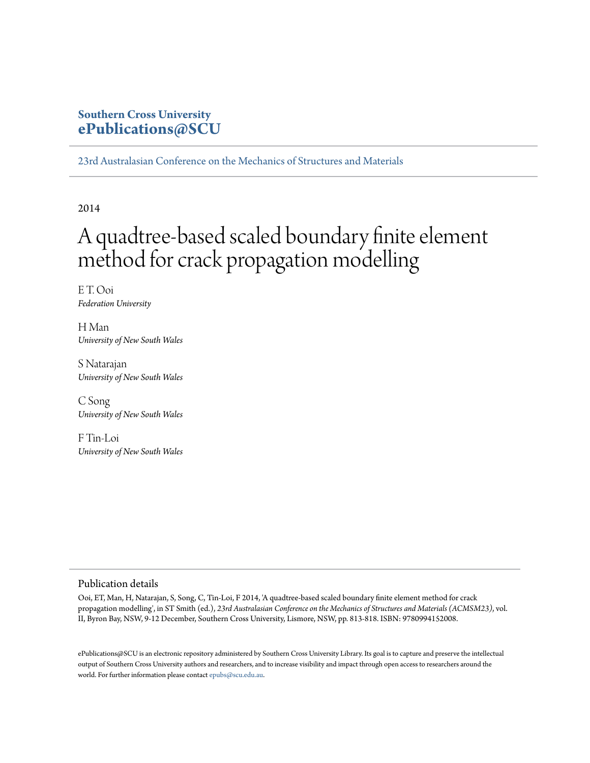# **Southern Cross University [ePublications@SCU](http://epubs.scu.edu.au)**

[23rd Australasian Conference on the Mechanics of Structures and Materials](http://epubs.scu.edu.au/acmsm23)

2014

# A quadtree-based scaled boundary finite element method for crack propagation modelling

E T. Ooi *Federation University*

H Man *University of New South Wales*

S Natarajan *University of New South Wales*

C Song *University of New South Wales*

F Tin-Loi *University of New South Wales*

## Publication details

Ooi, ET, Man, H, Natarajan, S, Song, C, Tin-Loi, F 2014, 'A quadtree-based scaled boundary finite element method for crack propagation modelling', in ST Smith (ed.), *23rd Australasian Conference on the Mechanics of Structures and Materials (ACMSM23)*, vol. II, Byron Bay, NSW, 9-12 December, Southern Cross University, Lismore, NSW, pp. 813-818. ISBN: 9780994152008.

ePublications@SCU is an electronic repository administered by Southern Cross University Library. Its goal is to capture and preserve the intellectual output of Southern Cross University authors and researchers, and to increase visibility and impact through open access to researchers around the world. For further information please contact [epubs@scu.edu.au](mailto:epubs@scu.edu.au).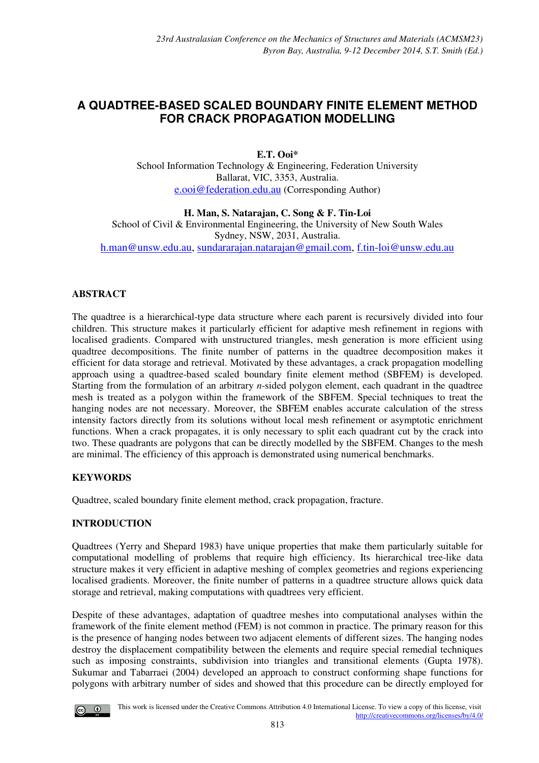# **A QUADTREE-BASED SCALED BOUNDARY FINITE ELEMENT METHOD FOR CRACK PROPAGATION MODELLING**

**E.T. Ooi\*** School Information Technology & Engineering, Federation University Ballarat, VIC, 3353, Australia. e.ooi@federation.edu.au (Corresponding Author)

**H. Man, S. Natarajan, C. Song & F. Tin-Loi** School of Civil & Environmental Engineering, the University of New South Wales Sydney, NSW, 2031, Australia. [h.man@unsw.edu.au,](mailto:h.man@unsw.edu.au) [sundararajan.natarajan@gmail.com,](mailto:sundararajan.natarajan@gmail.com) [f.tin-loi@unsw.edu.au](mailto:f.tin-loi@unsw.edu.au)

# **ABSTRACT**

The quadtree is a hierarchical-type data structure where each parent is recursively divided into four children. This structure makes it particularly efficient for adaptive mesh refinement in regions with localised gradients. Compared with unstructured triangles, mesh generation is more efficient using quadtree decompositions. The finite number of patterns in the quadtree decomposition makes it efficient for data storage and retrieval. Motivated by these advantages, a crack propagation modelling approach using a quadtree-based scaled boundary finite element method (SBFEM) is developed. Starting from the formulation of an arbitrary *n*-sided polygon element, each quadrant in the quadtree mesh is treated as a polygon within the framework of the SBFEM. Special techniques to treat the hanging nodes are not necessary. Moreover, the SBFEM enables accurate calculation of the stress intensity factors directly from its solutions without local mesh refinement or asymptotic enrichment functions. When a crack propagates, it is only necessary to split each quadrant cut by the crack into two. These quadrants are polygons that can be directly modelled by the SBFEM. Changes to the mesh are minimal. The efficiency of this approach is demonstrated using numerical benchmarks.

# **KEYWORDS**

Quadtree, scaled boundary finite element method, crack propagation, fracture.

# **INTRODUCTION**

Quadtrees (Yerry and Shepard 1983) have unique properties that make them particularly suitable for computational modelling of problems that require high efficiency. Its hierarchical tree-like data structure makes it very efficient in adaptive meshing of complex geometries and regions experiencing localised gradients. Moreover, the finite number of patterns in a quadtree structure allows quick data storage and retrieval, making computations with quadtrees very efficient.

Despite of these advantages, adaptation of quadtree meshes into computational analyses within the framework of the finite element method (FEM) is not common in practice. The primary reason for this is the presence of hanging nodes between two adjacent elements of different sizes. The hanging nodes destroy the displacement compatibility between the elements and require special remedial techniques such as imposing constraints, subdivision into triangles and transitional elements (Gupta 1978). Sukumar and Tabarraei (2004) developed an approach to construct conforming shape functions for polygons with arbitrary number of sides and showed that this procedure can be directly employed for

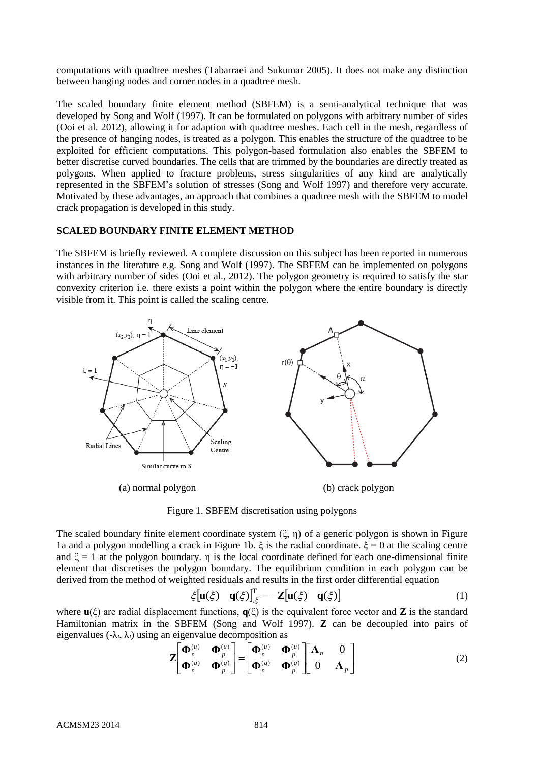computations with quadtree meshes (Tabarraei and Sukumar 2005). It does not make any distinction between hanging nodes and corner nodes in a quadtree mesh.

The scaled boundary finite element method (SBFEM) is a semi-analytical technique that was developed by Song and Wolf (1997). It can be formulated on polygons with arbitrary number of sides (Ooi et al. 2012), allowing it for adaption with quadtree meshes. Each cell in the mesh, regardless of the presence of hanging nodes, is treated as a polygon. This enables the structure of the quadtree to be exploited for efficient computations. This polygon-based formulation also enables the SBFEM to better discretise curved boundaries. The cells that are trimmed by the boundaries are directly treated as polygons. When applied to fracture problems, stress singularities of any kind are analytically represented in the SBFEM's solution of stresses (Song and Wolf 1997) and therefore very accurate. Motivated by these advantages, an approach that combines a quadtree mesh with the SBFEM to model crack propagation is developed in this study.

## **SCALED BOUNDARY FINITE ELEMENT METHOD**

The SBFEM is briefly reviewed. A complete discussion on this subject has been reported in numerous instances in the literature e.g. Song and Wolf (1997). The SBFEM can be implemented on polygons with arbitrary number of sides (Ooi et al., 2012). The polygon geometry is required to satisfy the star convexity criterion i.e. there exists a point within the polygon where the entire boundary is directly visible from it. This point is called the scaling centre.



Figure 1. SBFEM discretisation using polygons

The scaled boundary finite element coordinate system  $(\xi, \eta)$  of a generic polygon is shown in Figure 1a and a polygon modelling a crack in Figure 1b. ξ is the radial coordinate. ξ = 0 at the scaling centre and  $\xi = 1$  at the polygon boundary. η is the local coordinate defined for each one-dimensional finite element that discretises the polygon boundary. The equilibrium condition in each polygon can be derived from the method of weighted residuals and results in the first order differential equation

$$
\xi[\mathbf{u}(\xi) \quad \mathbf{q}(\xi)]_{\xi}^{\mathrm{T}} = -\mathbf{Z}[\mathbf{u}(\xi) \quad \mathbf{q}(\xi)] \tag{1}
$$

where **u**(ξ) are radial displacement functions, **q**(ξ) is the equivalent force vector and **Z** is the standard Hamiltonian matrix in the SBFEM (Song and Wolf 1997). **Z** can be decoupled into pairs of eigenvalues  $(\lambda_i, \lambda_i)$  using an eigenvalue decomposition as

$$
\mathbf{Z}\left[\begin{matrix}\mathbf{\Phi}_n^{(u)} & \mathbf{\Phi}_p^{(u)}\\ \mathbf{\Phi}_n^{(q)} & \mathbf{\Phi}_p^{(q)} \end{matrix}\right] = \left[\begin{matrix}\mathbf{\Phi}_n^{(u)} & \mathbf{\Phi}_p^{(u)}\\ \mathbf{\Phi}_n^{(q)} & \mathbf{\Phi}_p^{(q)} \end{matrix}\right] \left[\begin{matrix}\mathbf{\Lambda}_n & 0\\ 0 & \mathbf{\Lambda}_p \end{matrix}\right]
$$
(2)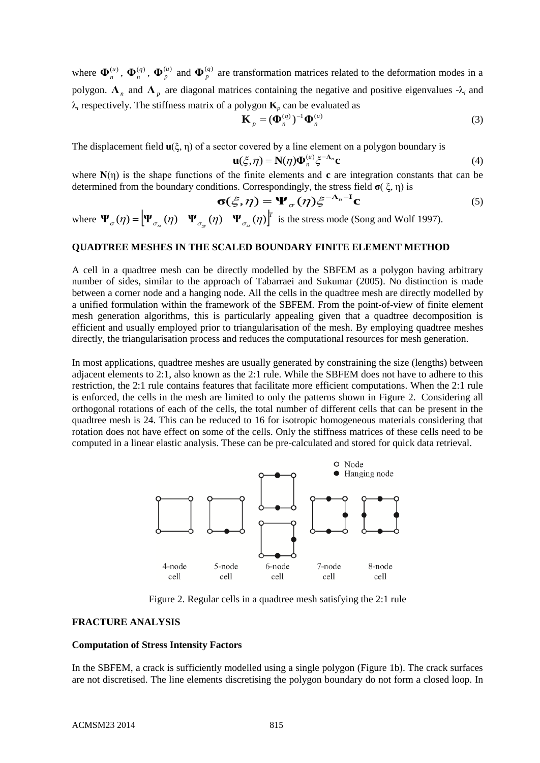where  $\Phi_n^{(u)}$ ,  $\Phi_n^{(q)}$ ,  $\Phi_p^{(u)}$  and  $\Phi_p^{(q)}$  are transformation matrices related to the deformation modes in a polygon.  $\Lambda_n$  and  $\Lambda_p$  are diagonal matrices containing the negative and positive eigenvalues  $-\lambda_i$  and  $\lambda_i$  respectively. The stiffness matrix of a polygon  $\mathbf{K}_p$  can be evaluated as

$$
\mathbf{K}_p = (\mathbf{\Phi}_n^{(q)})^{-1} \mathbf{\Phi}_n^{(u)}
$$
\n(3)

The displacement field **u**(ξ, η) of a sector covered by a line element on a polygon boundary is

$$
\mathbf{u}(\xi,\eta) = \mathbf{N}(\eta)\mathbf{\Phi}_n^{(u)}\xi^{-\Lambda_n}\mathbf{c}
$$
 (4)

where **N**(η) is the shape functions of the finite elements and **c** are integration constants that can be determined from the boundary conditions. Correspondingly, the stress field **σ**( ξ, η) is

$$
\boldsymbol{\sigma}(\xi,\eta) = \boldsymbol{\Psi}_{\sigma}(\eta)\xi^{-\Lambda_n - \mathbf{I}}\mathbf{c}
$$
 (5)

where  $\Psi_{\sigma}(\eta) = \left| \Psi_{\sigma}(\eta) \Psi_{\sigma}(\eta) \Psi_{\sigma}(\eta) \Psi_{\sigma}(\eta) \right|^{T}$  $\Psi_{\sigma}(\eta) = \left[ \Psi_{\sigma_{\rm xy}}(\eta) \quad \Psi_{\sigma_{\rm y}}(\eta) \quad \Psi_{\sigma_{\rm z}}(\eta) \right]$  is the stress mode (Song and Wolf 1997).

# **QUADTREE MESHES IN THE SCALED BOUNDARY FINITE ELEMENT METHOD**

A cell in a quadtree mesh can be directly modelled by the SBFEM as a polygon having arbitrary number of sides, similar to the approach of Tabarraei and Sukumar (2005). No distinction is made between a corner node and a hanging node. All the cells in the quadtree mesh are directly modelled by a unified formulation within the framework of the SBFEM. From the point-of-view of finite element mesh generation algorithms, this is particularly appealing given that a quadtree decomposition is efficient and usually employed prior to triangularisation of the mesh. By employing quadtree meshes directly, the triangularisation process and reduces the computational resources for mesh generation.

In most applications, quadtree meshes are usually generated by constraining the size (lengths) between adjacent elements to 2:1, also known as the 2:1 rule. While the SBFEM does not have to adhere to this restriction, the 2:1 rule contains features that facilitate more efficient computations. When the 2:1 rule is enforced, the cells in the mesh are limited to only the patterns shown in Figure 2. Considering all orthogonal rotations of each of the cells, the total number of different cells that can be present in the quadtree mesh is 24. This can be reduced to 16 for isotropic homogeneous materials considering that rotation does not have effect on some of the cells. Only the stiffness matrices of these cells need to be computed in a linear elastic analysis. These can be pre-calculated and stored for quick data retrieval.



Figure 2. Regular cells in a quadtree mesh satisfying the 2:1 rule

# **FRACTURE ANALYSIS**

#### **Computation of Stress Intensity Factors**

In the SBFEM, a crack is sufficiently modelled using a single polygon (Figure 1b). The crack surfaces are not discretised. The line elements discretising the polygon boundary do not form a closed loop. In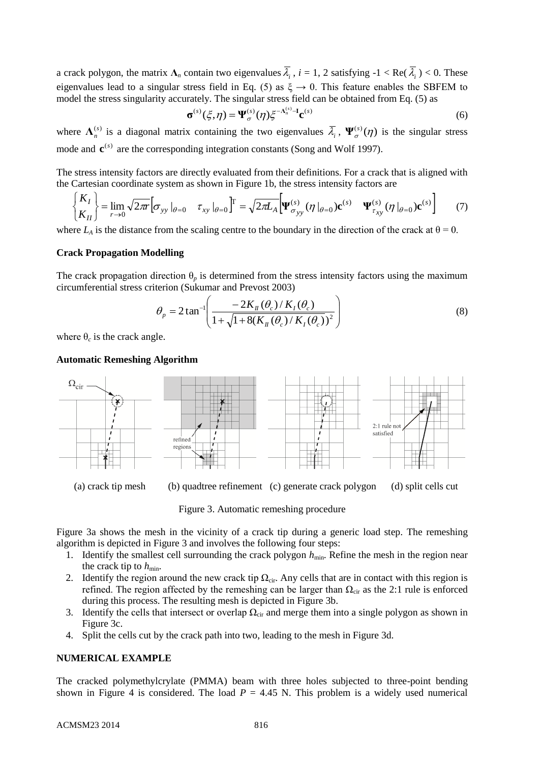a crack polygon, the matrix  $\Lambda_n$  contain two eigenvalues  $\lambda_i$ ,  $i = 1, 2$  satisfying  $-1 < \text{Re}(\lambda_i) < 0$ . These eigenvalues lead to a singular stress field in Eq. (5) as  $\xi \rightarrow 0$ . This feature enables the SBFEM to model the stress singularity accurately. The singular stress field can be obtained from Eq. (5) as

$$
\boldsymbol{\sigma}^{(s)}(\xi,\eta) = \boldsymbol{\Psi}^{(s)}_{\sigma}(\eta) \xi^{-\Lambda_n^{(s)}-1} \mathbf{c}^{(s)}
$$
(6)

where  $\Lambda_n^{(s)}$  is a diagonal matrix containing the two eigenvalues  $\overline{\lambda}_i$ ,  $\Psi_{\sigma}^{(s)}(\eta)$  is the singular stress mode and  $\mathbf{c}^{(s)}$  are the corresponding integration constants (Song and Wolf 1997).

The stress intensity factors are directly evaluated from their definitions. For a crack that is aligned with

the Cartesian coordinate system as shown in Figure 1b, the stress intensity factors are\n
$$
\begin{cases}\nK_I \\
K_{II}\n\end{cases} = \lim_{r \to 0} \sqrt{2\pi r} \Big[ \sigma_{yy} \big|_{\theta=0} \Big[ \tau_{xy} \big|_{\theta=0} \Big]^T = \sqrt{2\pi L_A} \Big[ \Psi_{\sigma_{yy}}^{(s)}(\eta \big|_{\theta=0}) \mathbf{c}^{(s)} \Big] \Psi_{\tau_{xy}}^{(s)}(\eta \big|_{\theta=0}) \mathbf{c}^{(s)} \Big]
$$
\n(7)

where  $L_A$  is the distance from the scaling centre to the boundary in the direction of the crack at  $\theta = 0$ .

# **Crack Propagation Modelling**

The crack propagation direction  $\theta_p$  is determined from the stress intensity factors using the maximum circumferential stress criterion (Sukumar and Prevost 2003)

$$
\theta_p = 2 \tan^{-1} \left( \frac{-2K_{\pi}(\theta_c)/K_{I}(\theta_c)}{1 + \sqrt{1 + 8(K_{\pi}(\theta_c)/K_{I}(\theta_c))^{2}}} \right)
$$
(8)

where  $\theta_c$  is the crack angle.

#### **Automatic Remeshing Algorithm**



Figure 3. Automatic remeshing procedure

Figure 3a shows the mesh in the vicinity of a crack tip during a generic load step. The remeshing algorithm is depicted in Figure 3 and involves the following four steps:

- 1. Identify the smallest cell surrounding the crack polygon  $h_{\text{min}}$ . Refine the mesh in the region near the crack tip to  $h_{\min}$ .
- 2. Identify the region around the new crack tip  $\Omega_{\text{cir}}$ . Any cells that are in contact with this region is refined. The region affected by the remeshing can be larger than  $\Omega_{\text{cir}}$  as the 2:1 rule is enforced during this process. The resulting mesh is depicted in Figure 3b.
- 3. Identify the cells that intersect or overlap  $\Omega_{\text{cir}}$  and merge them into a single polygon as shown in Figure 3c.
- 4. Split the cells cut by the crack path into two, leading to the mesh in Figure 3d.

## **NUMERICAL EXAMPLE**

The cracked polymethylcrylate (PMMA) beam with three holes subjected to three-point bending shown in Figure 4 is considered. The load  $P = 4.45$  N. This problem is a widely used numerical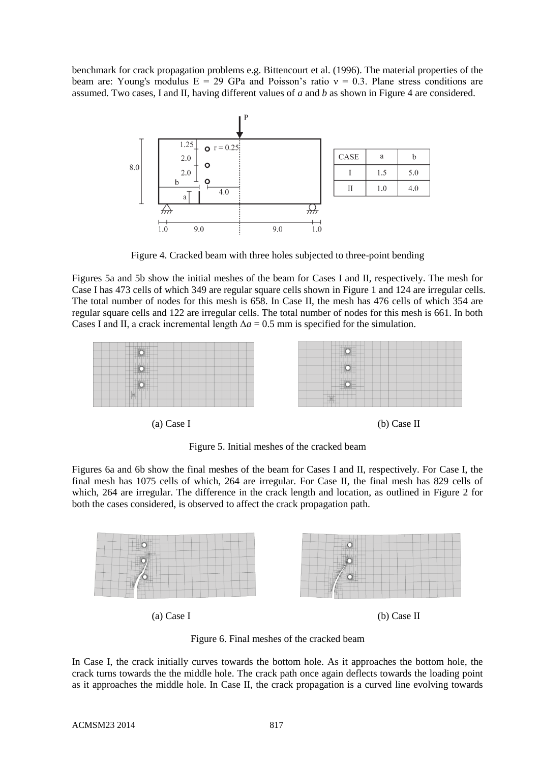benchmark for crack propagation problems e.g. Bittencourt et al. (1996). The material properties of the beam are: Young's modulus  $E = 29$  GPa and Poisson's ratio  $v = 0.3$ . Plane stress conditions are assumed. Two cases, I and II, having different values of *a* and *b* as shown in Figure 4 are considered.



Figure 4. Cracked beam with three holes subjected to three-point bending

Figures 5a and 5b show the initial meshes of the beam for Cases I and II, respectively. The mesh for Case I has 473 cells of which 349 are regular square cells shown in Figure 1 and 124 are irregular cells. The total number of nodes for this mesh is 658. In Case II, the mesh has 476 cells of which 354 are regular square cells and 122 are irregular cells. The total number of nodes for this mesh is 661. In both Cases I and II, a crack incremental length  $\Delta a = 0.5$  mm is specified for the simulation.

| the contract of the contract of the con-                                                                                 | the contract of the contract of the contract of the contract of the contract of |
|--------------------------------------------------------------------------------------------------------------------------|---------------------------------------------------------------------------------|
| $\circ$                                                                                                                  | .                                                                               |
|                                                                                                                          | $\overline{\circ}$                                                              |
|                                                                                                                          |                                                                                 |
| _________                                                                                                                |                                                                                 |
| $\sqrt{2}$                                                                                                               | $\circ$                                                                         |
| Scale & Address Address of                                                                                               | .                                                                               |
| ______________________                                                                                                   | .                                                                               |
| the product of the contract of the contract of<br>$\overline{\bullet}$<br>and the development of the control of the con- | ____________<br>$\circ$                                                         |
| $\frac{1}{2}$<br><b>LIGHTING</b><br>.                                                                                    | _______________                                                                 |

(a) Case I (b) Case II

Figure 5. Initial meshes of the cracked beam

Figures 6a and 6b show the final meshes of the beam for Cases I and II, respectively. For Case I, the final mesh has 1075 cells of which, 264 are irregular. For Case II, the final mesh has 829 cells of which, 264 are irregular. The difference in the crack length and location, as outlined in Figure 2 for both the cases considered, is observed to affect the crack propagation path.



(a) Case I (b) Case II

Figure 6. Final meshes of the cracked beam

In Case I, the crack initially curves towards the bottom hole. As it approaches the bottom hole, the crack turns towards the the middle hole. The crack path once again deflects towards the loading point as it approaches the middle hole. In Case II, the crack propagation is a curved line evolving towards